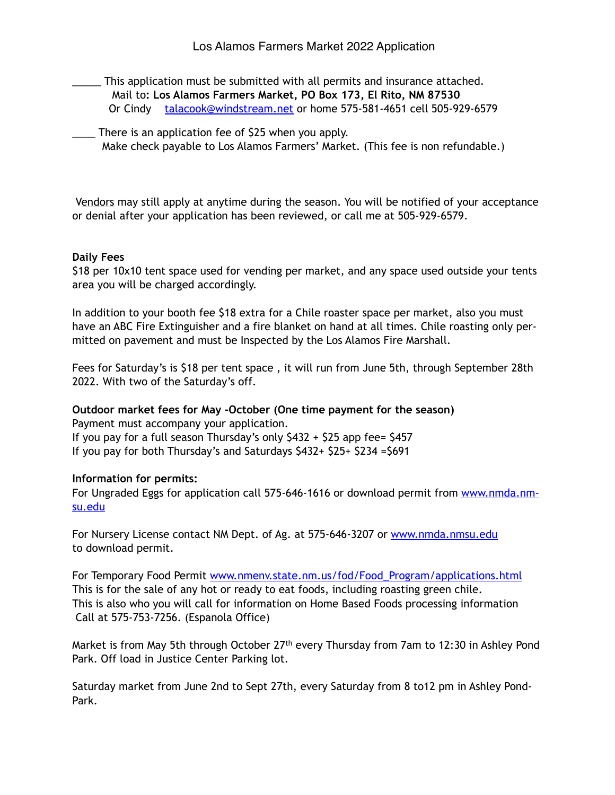- \_\_\_\_\_ This application must be submitted with all permits and insurance attached. Mail to**: Los Alamos Farmers Market, PO Box 173, El Rito, NM 87530** Or Cindy [talacook@windstream.net](mailto:talacook@windstream.net) or home 575-581-4651 cell 505-929-6579
- \_\_\_\_ There is an application fee of \$25 when you apply. Make check payable to Los Alamos Farmers' Market. (This fee is non refundable.)

 Vendors may still apply at anytime during the season. You will be notified of your acceptance or denial after your application has been reviewed, or call me at 505-929-6579.

## **Daily Fees**

\$18 per 10x10 tent space used for vending per market, and any space used outside your tents area you will be charged accordingly.

In addition to your booth fee \$18 extra for a Chile roaster space per market, also you must have an ABC Fire Extinguisher and a fire blanket on hand at all times. Chile roasting only permitted on pavement and must be Inspected by the Los Alamos Fire Marshall.

Fees for Saturday's is \$18 per tent space , it will run from June 5th, through September 28th 2022. With two of the Saturday's off.

**Outdoor market fees for May -October (One time payment for the season)**  Payment must accompany your application. If you pay for a full season Thursday's only \$432 + \$25 app fee= \$457 If you pay for both Thursday's and Saturdays \$432+ \$25+ \$234 =\$691

## **Information for permits:**

[For Ungraded Eggs for application call 575-646-1616 or download permit from www.nmda.nm](http://www.nmda.nmsu.edu)su.edu

For Nursery License contact NM Dept. of Ag. at 575-646-3207 or [www.nmda.nmsu.edu](http://www.nmda.nmsu.edu) to download permit.

For Temporary Food Permit [www.nmenv.state.nm.us/fod/Food\\_Program/applications.html](http://www.nmenv.state.nm.us/fod/Food_Program/applications.html) This is for the sale of any hot or ready to eat foods, including roasting green chile. This is also who you will call for information on Home Based Foods processing information Call at 575-753-7256. (Espanola Office)

Market is from May 5th through October 27<sup>th</sup> every Thursday from 7am to 12:30 in Ashley Pond Park. Off load in Justice Center Parking lot.

Saturday market from June 2nd to Sept 27th, every Saturday from 8 to12 pm in Ashley Pond-Park.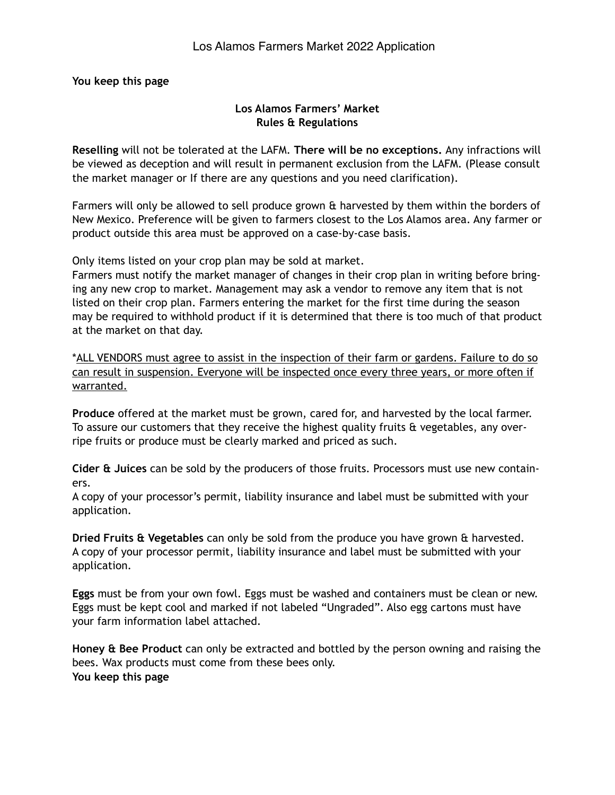**You keep this page**

## **Los Alamos Farmers' Market Rules & Regulations**

**Reselling** will not be tolerated at the LAFM. **There will be no exceptions.** Any infractions will be viewed as deception and will result in permanent exclusion from the LAFM. (Please consult the market manager or If there are any questions and you need clarification).

Farmers will only be allowed to sell produce grown & harvested by them within the borders of New Mexico. Preference will be given to farmers closest to the Los Alamos area. Any farmer or product outside this area must be approved on a case-by-case basis.

Only items listed on your crop plan may be sold at market.

Farmers must notify the market manager of changes in their crop plan in writing before bringing any new crop to market. Management may ask a vendor to remove any item that is not listed on their crop plan. Farmers entering the market for the first time during the season may be required to withhold product if it is determined that there is too much of that product at the market on that day.

\*ALL VENDORS must agree to assist in the inspection of their farm or gardens. Failure to do so can result in suspension. Everyone will be inspected once every three years, or more often if warranted.

**Produce** offered at the market must be grown, cared for, and harvested by the local farmer. To assure our customers that they receive the highest quality fruits & vegetables, any overripe fruits or produce must be clearly marked and priced as such.

**Cider & Juices** can be sold by the producers of those fruits. Processors must use new containers.

A copy of your processor's permit, liability insurance and label must be submitted with your application.

**Dried Fruits & Vegetables** can only be sold from the produce you have grown & harvested. A copy of your processor permit, liability insurance and label must be submitted with your application.

**Eggs** must be from your own fowl. Eggs must be washed and containers must be clean or new. Eggs must be kept cool and marked if not labeled "Ungraded". Also egg cartons must have your farm information label attached.

**Honey & Bee Product** can only be extracted and bottled by the person owning and raising the bees. Wax products must come from these bees only. **You keep this page**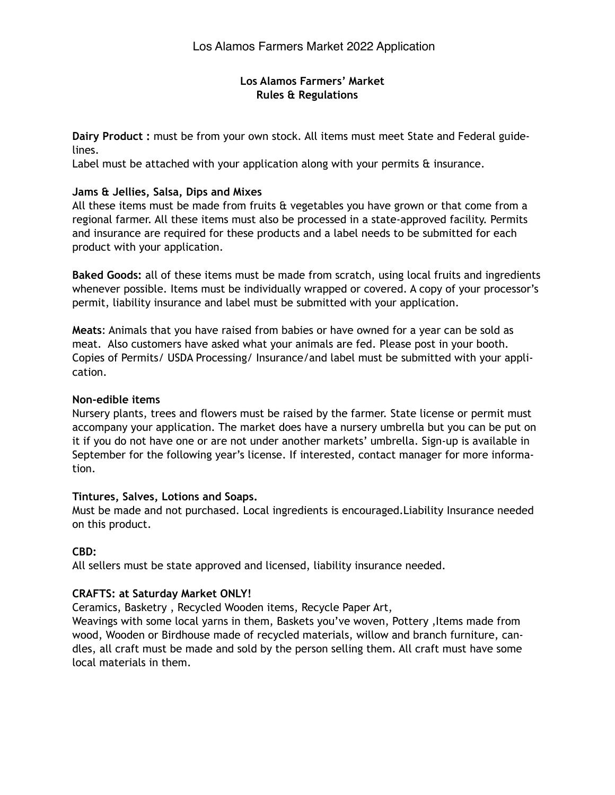## **Los Alamos Farmers' Market Rules & Regulations**

**Dairy Product :** must be from your own stock. All items must meet State and Federal guidelines.

Label must be attached with your application along with your permits  $\hat{a}$  insurance.

## **Jams & Jellies, Salsa, Dips and Mixes**

All these items must be made from fruits & vegetables you have grown or that come from a regional farmer. All these items must also be processed in a state-approved facility. Permits and insurance are required for these products and a label needs to be submitted for each product with your application.

**Baked Goods:** all of these items must be made from scratch, using local fruits and ingredients whenever possible. Items must be individually wrapped or covered. A copy of your processor's permit, liability insurance and label must be submitted with your application.

**Meats**: Animals that you have raised from babies or have owned for a year can be sold as meat. Also customers have asked what your animals are fed. Please post in your booth. Copies of Permits/ USDA Processing/ Insurance/and label must be submitted with your application.

## **Non-edible items**

Nursery plants, trees and flowers must be raised by the farmer. State license or permit must accompany your application. The market does have a nursery umbrella but you can be put on it if you do not have one or are not under another markets' umbrella. Sign-up is available in September for the following year's license. If interested, contact manager for more information.

## **Tintures, Salves, Lotions and Soaps.**

Must be made and not purchased. Local ingredients is encouraged.Liability Insurance needed on this product.

## **CBD:**

All sellers must be state approved and licensed, liability insurance needed.

## **CRAFTS: at Saturday Market ONLY!**

Ceramics, Basketry , Recycled Wooden items, Recycle Paper Art,

Weavings with some local yarns in them, Baskets you've woven, Pottery, Items made from wood, Wooden or Birdhouse made of recycled materials, willow and branch furniture, candles, all craft must be made and sold by the person selling them. All craft must have some local materials in them.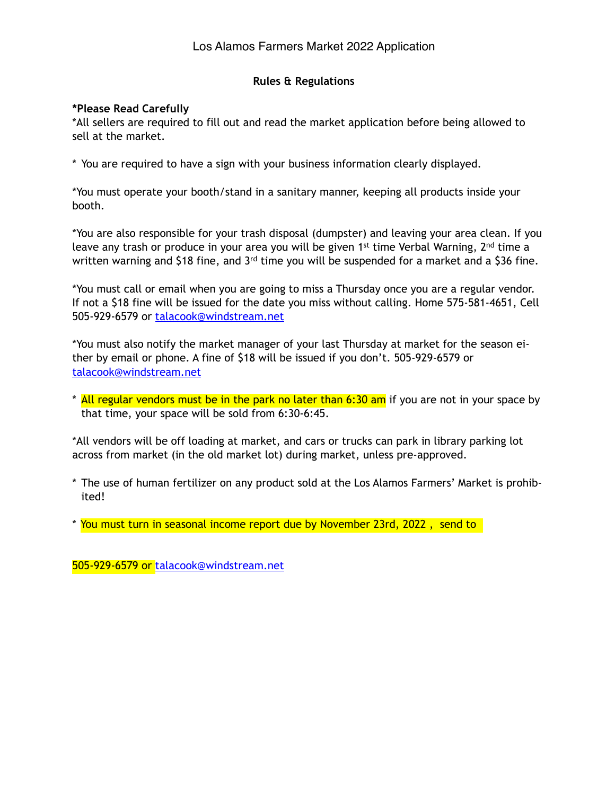## **Rules & Regulations**

## **\*Please Read Carefully**

\*All sellers are required to fill out and read the market application before being allowed to sell at the market.

\* You are required to have a sign with your business information clearly displayed.

\*You must operate your booth/stand in a sanitary manner, keeping all products inside your booth.

\*You are also responsible for your trash disposal (dumpster) and leaving your area clean. If you leave any trash or produce in your area you will be given 1<sup>st</sup> time Verbal Warning, 2<sup>nd</sup> time a written warning and \$18 fine, and 3<sup>rd</sup> time you will be suspended for a market and a \$36 fine.

\*You must call or email when you are going to miss a Thursday once you are a regular vendor. If not a \$18 fine will be issued for the date you miss without calling. Home 575-581-4651, Cell 505-929-6579 or [talacook@windstream.net](mailto:talacook@windstream.net) 

\*You must also notify the market manager of your last Thursday at market for the season either by email or phone. A fine of \$18 will be issued if you don't. 505-929-6579 or [talacook@windstream.net](mailto:talacook@windstream.net)

\* All regular vendors must be in the park no later than 6:30 am if you are not in your space by that time, your space will be sold from 6:30-6:45.

\*All vendors will be off loading at market, and cars or trucks can park in library parking lot across from market (in the old market lot) during market, unless pre-approved.

- \* The use of human fertilizer on any product sold at the Los Alamos Farmers' Market is prohibited!
- \* You must turn in seasonal income report due by November 23rd, 2022 , send to

505-929-6579 or [talacook@windstream.net](mailto:talacook@windstream.net)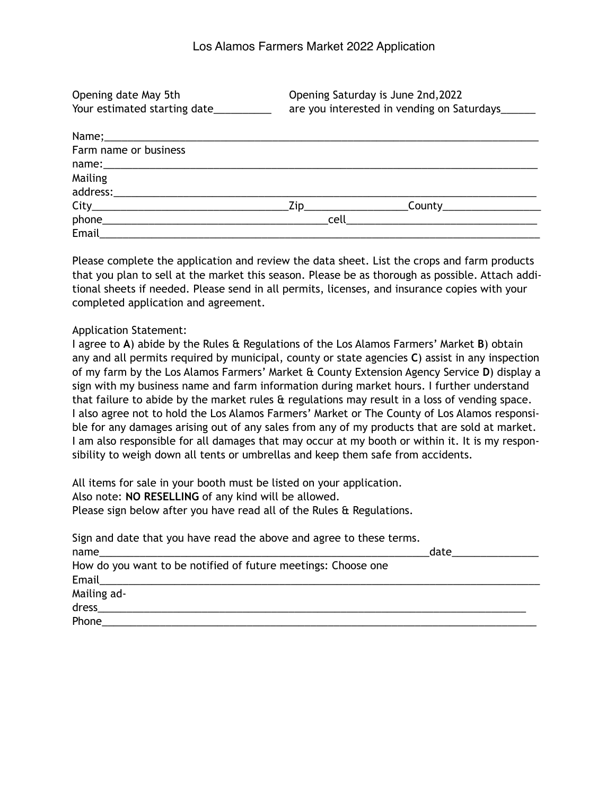Opening date May 5th Opening Saturday is June 2nd,2022 Your estimated starting date\_\_\_\_\_\_\_\_\_\_\_\_ are you interested in vending on Saturdays\_\_\_\_\_\_

| Farm name or business |                   |                                                               |  |
|-----------------------|-------------------|---------------------------------------------------------------|--|
|                       |                   |                                                               |  |
| Mailing               |                   |                                                               |  |
|                       |                   |                                                               |  |
|                       | $\frac{1}{2}$ Zip | $\mathsf{Country} \_\_\_\_\_\_\_\_\_\_\_\_\_\_\_\_\_\_\_\_\_$ |  |
| phone_                | cell              |                                                               |  |
| Email                 |                   |                                                               |  |

Please complete the application and review the data sheet. List the crops and farm products that you plan to sell at the market this season. Please be as thorough as possible. Attach additional sheets if needed. Please send in all permits, licenses, and insurance copies with your completed application and agreement.

#### Application Statement:

I agree to **A**) abide by the Rules & Regulations of the Los Alamos Farmers' Market **B**) obtain any and all permits required by municipal, county or state agencies **C**) assist in any inspection of my farm by the Los Alamos Farmers' Market & County Extension Agency Service **D**) display a sign with my business name and farm information during market hours. I further understand that failure to abide by the market rules & regulations may result in a loss of vending space. I also agree not to hold the Los Alamos Farmers' Market or The County of Los Alamos responsible for any damages arising out of any sales from any of my products that are sold at market. I am also responsible for all damages that may occur at my booth or within it. It is my responsibility to weigh down all tents or umbrellas and keep them safe from accidents.

All items for sale in your booth must be listed on your application. Also note: **NO RESELLING** of any kind will be allowed. Please sign below after you have read all of the Rules & Regulations.

| Sign and date that you have read the above and agree to these terms.                                          |      |
|---------------------------------------------------------------------------------------------------------------|------|
|                                                                                                               | date |
| How do you want to be notified of future meetings: Choose one                                                 |      |
|                                                                                                               |      |
| Mailing ad-                                                                                                   |      |
| dress and the contract of the contract of the contract of the contract of the contract of the contract of the |      |
| Phone                                                                                                         |      |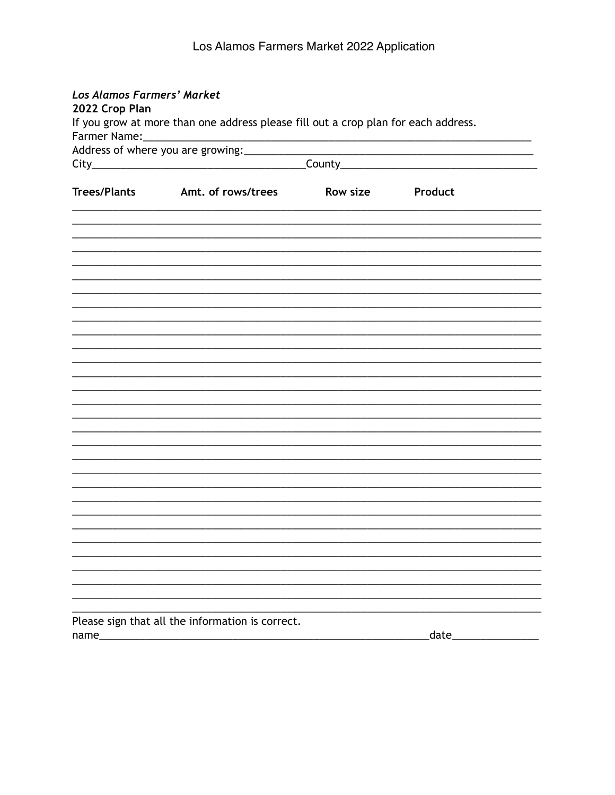| Los Alamos Farmers' Market<br>2022 Crop Plan                                       |                                                  |                                                    |        |  |
|------------------------------------------------------------------------------------|--------------------------------------------------|----------------------------------------------------|--------|--|
| If you grow at more than one address please fill out a crop plan for each address. |                                                  |                                                    |        |  |
|                                                                                    |                                                  |                                                    |        |  |
|                                                                                    | Address of where you are growing:                | <u> 1989 - Johann John Stein, markin fizikar (</u> |        |  |
|                                                                                    |                                                  |                                                    |        |  |
|                                                                                    |                                                  |                                                    |        |  |
| <b>Trees/Plants</b>                                                                | Amt. of rows/trees                               | Row size Product                                   |        |  |
|                                                                                    |                                                  |                                                    |        |  |
|                                                                                    |                                                  |                                                    |        |  |
|                                                                                    |                                                  |                                                    |        |  |
|                                                                                    |                                                  |                                                    |        |  |
|                                                                                    |                                                  |                                                    |        |  |
|                                                                                    |                                                  |                                                    |        |  |
|                                                                                    |                                                  |                                                    |        |  |
|                                                                                    |                                                  |                                                    |        |  |
|                                                                                    |                                                  |                                                    |        |  |
|                                                                                    |                                                  |                                                    |        |  |
|                                                                                    |                                                  |                                                    |        |  |
|                                                                                    |                                                  |                                                    |        |  |
|                                                                                    |                                                  |                                                    |        |  |
|                                                                                    |                                                  |                                                    |        |  |
|                                                                                    |                                                  |                                                    |        |  |
|                                                                                    |                                                  |                                                    |        |  |
|                                                                                    |                                                  |                                                    |        |  |
|                                                                                    |                                                  |                                                    |        |  |
|                                                                                    |                                                  |                                                    |        |  |
|                                                                                    |                                                  |                                                    |        |  |
|                                                                                    |                                                  |                                                    |        |  |
|                                                                                    |                                                  |                                                    |        |  |
|                                                                                    |                                                  |                                                    |        |  |
|                                                                                    |                                                  |                                                    |        |  |
|                                                                                    |                                                  |                                                    |        |  |
|                                                                                    |                                                  |                                                    |        |  |
|                                                                                    | Please sign that all the information is correct. |                                                    |        |  |
| name_                                                                              |                                                  |                                                    | _date_ |  |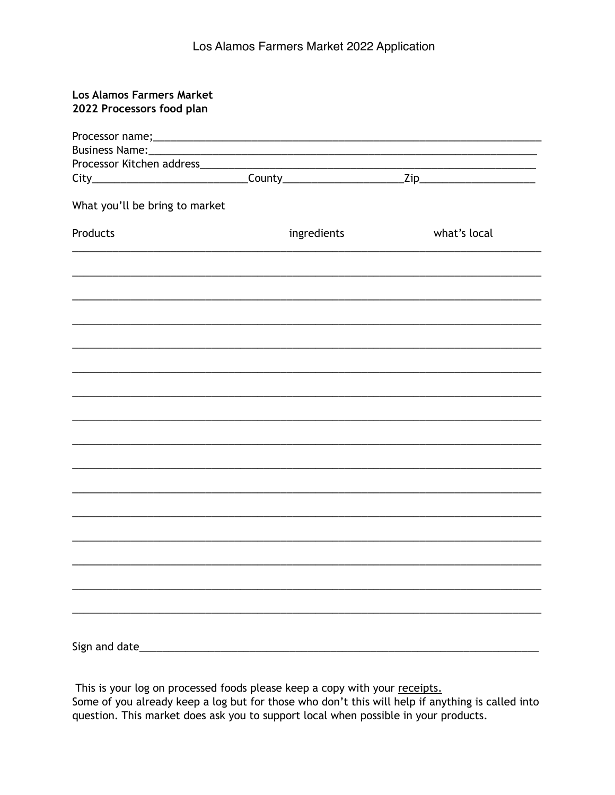| <b>Los Alamos Farmers Market</b><br>2022 Processors food plan |             |              |
|---------------------------------------------------------------|-------------|--------------|
|                                                               |             |              |
|                                                               |             |              |
|                                                               |             |              |
|                                                               |             |              |
|                                                               |             |              |
| What you'll be bring to market                                |             |              |
| Products                                                      | ingredients | what's local |
|                                                               |             |              |
|                                                               |             |              |
|                                                               |             |              |
|                                                               |             |              |
|                                                               |             |              |
|                                                               |             |              |
|                                                               |             |              |
|                                                               |             |              |
|                                                               |             |              |
|                                                               |             |              |
|                                                               |             |              |
|                                                               |             |              |
|                                                               |             |              |
|                                                               |             |              |
|                                                               |             |              |

This is your log on processed foods please keep a copy with your receipts. Some of you already keep a log but for those who don't this will help if anything is called into question. This market does ask you to support local when possible in your products.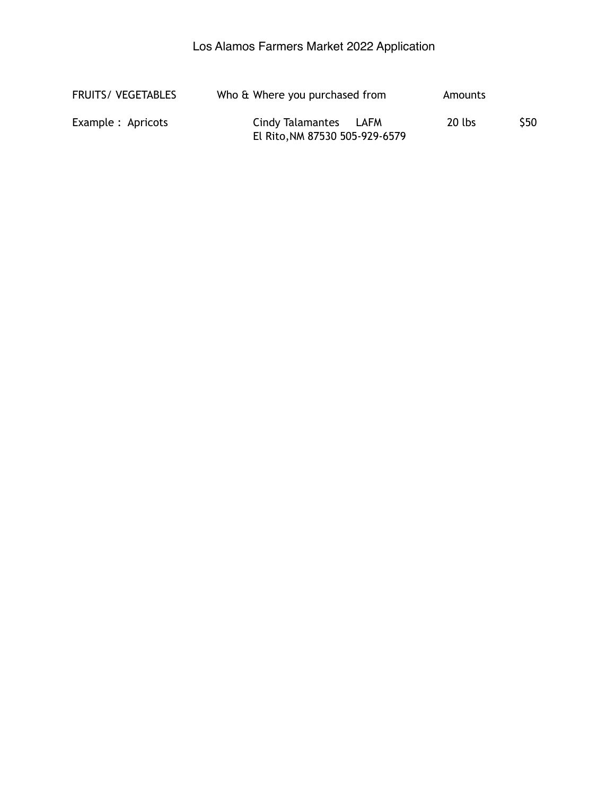| <b>FRUITS/ VEGETABLES</b> | Who & Where you purchased from                          | Amounts |                 |
|---------------------------|---------------------------------------------------------|---------|-----------------|
| Example : Apricots        | Cindy Talamantes LAFM<br>El Rito, NM 87530 505-929-6579 | 20 lbs  | S <sub>50</sub> |